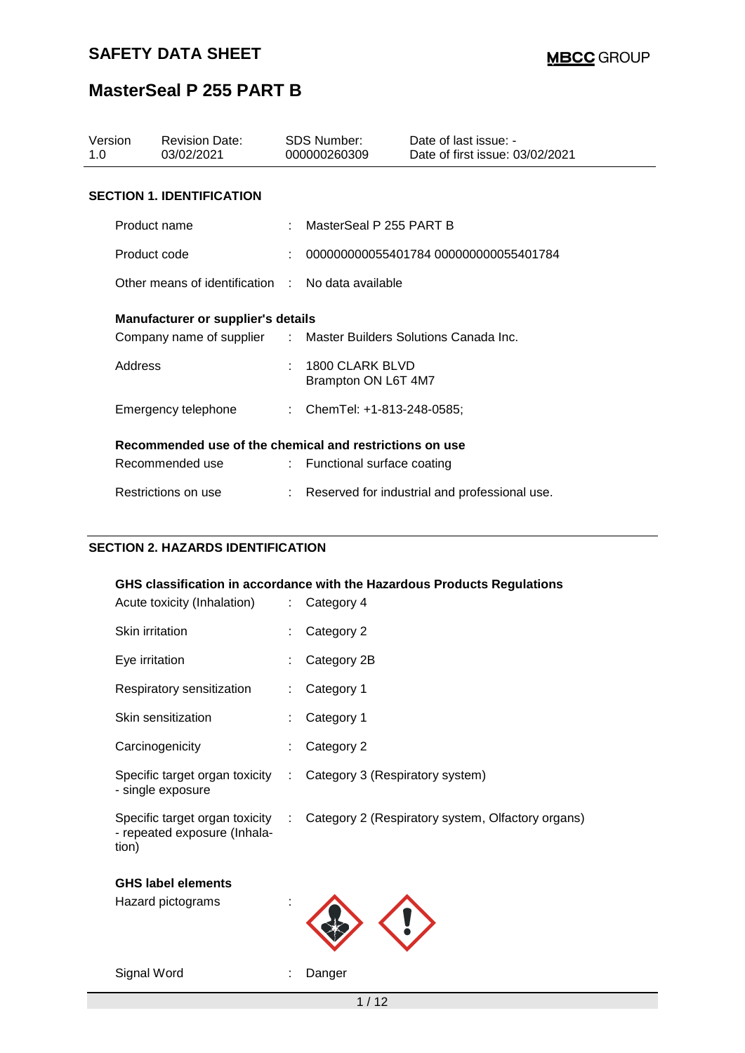| Version<br>1.0                                          | <b>Revision Date:</b><br>03/02/2021                              |                           | SDS Number:<br>000000260309            | Date of last issue: -<br>Date of first issue: 03/02/2021 |  |  |  |
|---------------------------------------------------------|------------------------------------------------------------------|---------------------------|----------------------------------------|----------------------------------------------------------|--|--|--|
| <b>SECTION 1. IDENTIFICATION</b>                        |                                                                  |                           |                                        |                                                          |  |  |  |
| Product name                                            |                                                                  |                           | MasterSeal P 255 PART B                |                                                          |  |  |  |
| Product code                                            |                                                                  |                           |                                        | 000000000055401784 000000000055401784                    |  |  |  |
|                                                         | Other means of identification                                    |                           | No data available                      |                                                          |  |  |  |
| <b>Manufacturer or supplier's details</b>               |                                                                  |                           |                                        |                                                          |  |  |  |
|                                                         | Company name of supplier : Master Builders Solutions Canada Inc. |                           |                                        |                                                          |  |  |  |
| Address                                                 |                                                                  |                           | 1800 CLARK BLVD<br>Brampton ON L6T 4M7 |                                                          |  |  |  |
|                                                         | Emergency telephone                                              |                           | : ChemTel: +1-813-248-0585;            |                                                          |  |  |  |
| Recommended use of the chemical and restrictions on use |                                                                  |                           |                                        |                                                          |  |  |  |
|                                                         | Recommended use                                                  | $\mathbb{R}^{\mathbb{Z}}$ | Functional surface coating             |                                                          |  |  |  |
|                                                         | Restrictions on use                                              |                           |                                        | Reserved for industrial and professional use.            |  |  |  |

### **SECTION 2. HAZARDS IDENTIFICATION**

### **GHS classification in accordance with the Hazardous Products Regulations**

| Acute toxicity (Inhalation)                                             | t.                        | Category 4                                        |
|-------------------------------------------------------------------------|---------------------------|---------------------------------------------------|
| Skin irritation                                                         |                           | Category 2                                        |
| Eye irritation                                                          |                           | Category 2B                                       |
| Respiratory sensitization                                               |                           | Category 1                                        |
| Skin sensitization                                                      |                           | Category 1                                        |
| Carcinogenicity                                                         |                           | Category 2                                        |
| Specific target organ toxicity<br>- single exposure                     | ÷.                        | Category 3 (Respiratory system)                   |
| Specific target organ toxicity<br>- repeated exposure (Inhala-<br>tion) | $\mathbb{Z}^{\mathbb{Z}}$ | Category 2 (Respiratory system, Olfactory organs) |
| <b>GHS label elements</b>                                               |                           |                                                   |
| Hazard pictograms                                                       |                           |                                                   |

Signal Word : Danger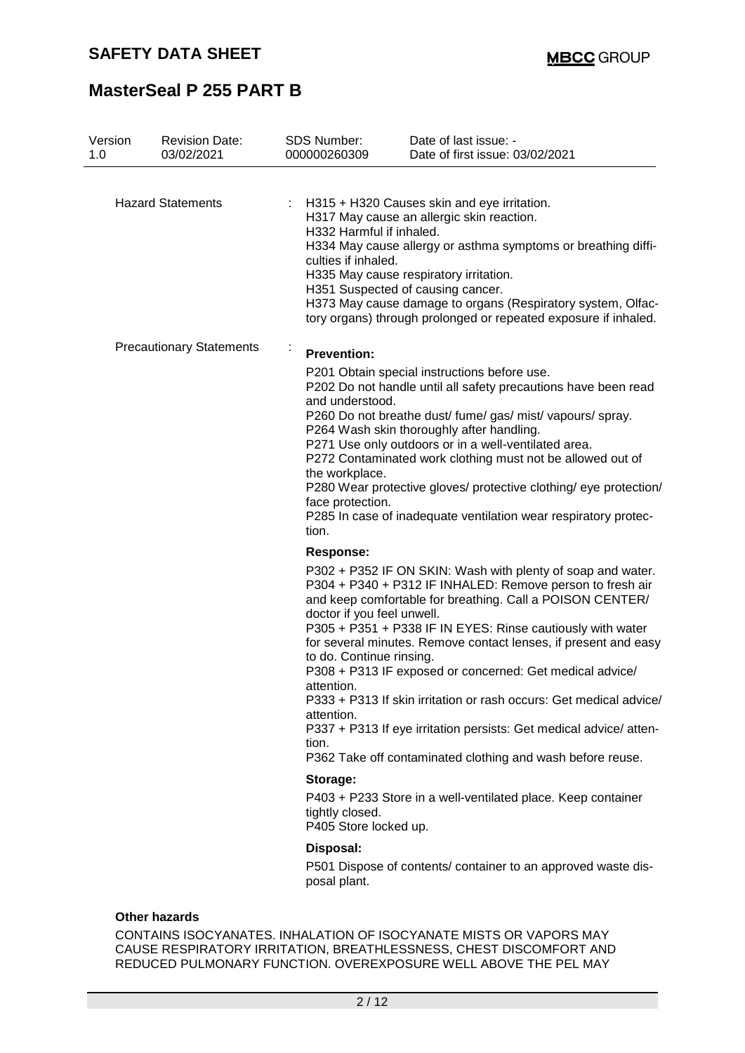| Version<br>1.0 | <b>Revision Date:</b><br>03/02/2021 | <b>SDS Number:</b><br>000000260309                                                                     | Date of last issue: -<br>Date of first issue: 03/02/2021                                                                                                                                                                                                                                                                                                                                                                                                                                                                                                                                     |
|----------------|-------------------------------------|--------------------------------------------------------------------------------------------------------|----------------------------------------------------------------------------------------------------------------------------------------------------------------------------------------------------------------------------------------------------------------------------------------------------------------------------------------------------------------------------------------------------------------------------------------------------------------------------------------------------------------------------------------------------------------------------------------------|
|                | <b>Hazard Statements</b>            | H332 Harmful if inhaled.<br>culties if inhaled.                                                        | H315 + H320 Causes skin and eye irritation.<br>H317 May cause an allergic skin reaction.<br>H334 May cause allergy or asthma symptoms or breathing diffi-<br>H335 May cause respiratory irritation.<br>H351 Suspected of causing cancer.<br>H373 May cause damage to organs (Respiratory system, Olfac-<br>tory organs) through prolonged or repeated exposure if inhaled.                                                                                                                                                                                                                   |
|                | <b>Precautionary Statements</b>     | ÷<br><b>Prevention:</b><br>and understood.<br>the workplace.<br>face protection.<br>tion.<br>Response: | P201 Obtain special instructions before use.<br>P202 Do not handle until all safety precautions have been read<br>P260 Do not breathe dust/ fume/ gas/ mist/ vapours/ spray.<br>P264 Wash skin thoroughly after handling.<br>P271 Use only outdoors or in a well-ventilated area.<br>P272 Contaminated work clothing must not be allowed out of<br>P280 Wear protective gloves/ protective clothing/ eye protection/<br>P285 In case of inadequate ventilation wear respiratory protec-                                                                                                      |
|                |                                     | doctor if you feel unwell.<br>to do. Continue rinsing.<br>attention.<br>attention.<br>tion.            | P302 + P352 IF ON SKIN: Wash with plenty of soap and water.<br>P304 + P340 + P312 IF INHALED: Remove person to fresh air<br>and keep comfortable for breathing. Call a POISON CENTER/<br>P305 + P351 + P338 IF IN EYES: Rinse cautiously with water<br>for several minutes. Remove contact lenses, if present and easy<br>P308 + P313 IF exposed or concerned: Get medical advice/<br>P333 + P313 If skin irritation or rash occurs: Get medical advice/<br>P337 + P313 If eye irritation persists: Get medical advice/ atten-<br>P362 Take off contaminated clothing and wash before reuse. |
|                |                                     | Storage:<br>tightly closed.<br>P405 Store locked up.                                                   | P403 + P233 Store in a well-ventilated place. Keep container                                                                                                                                                                                                                                                                                                                                                                                                                                                                                                                                 |
|                |                                     | Disposal:<br>posal plant.                                                                              | P501 Dispose of contents/ container to an approved waste dis-                                                                                                                                                                                                                                                                                                                                                                                                                                                                                                                                |

CONTAINS ISOCYANATES. INHALATION OF ISOCYANATE MISTS OR VAPORS MAY CAUSE RESPIRATORY IRRITATION, BREATHLESSNESS, CHEST DISCOMFORT AND REDUCED PULMONARY FUNCTION. OVEREXPOSURE WELL ABOVE THE PEL MAY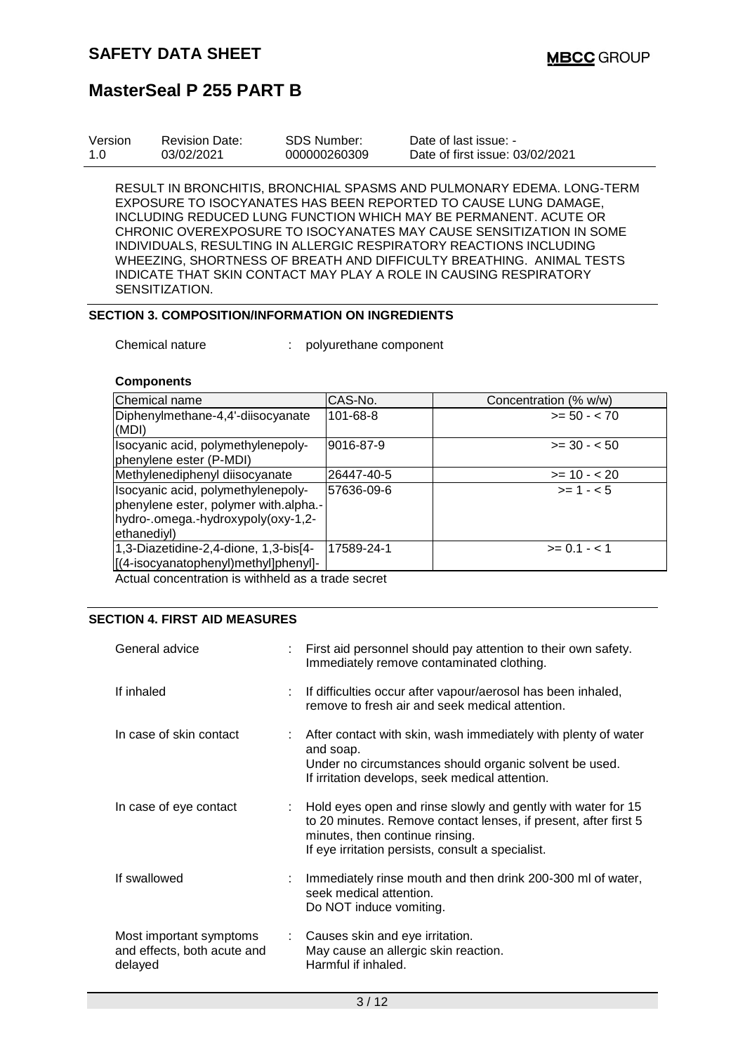| Version | <b>Revision Date:</b> | <b>SDS Number:</b> | Date of last issue: -           |
|---------|-----------------------|--------------------|---------------------------------|
| 1.0     | 03/02/2021            | 000000260309       | Date of first issue: 03/02/2021 |

RESULT IN BRONCHITIS, BRONCHIAL SPASMS AND PULMONARY EDEMA. LONG-TERM EXPOSURE TO ISOCYANATES HAS BEEN REPORTED TO CAUSE LUNG DAMAGE, INCLUDING REDUCED LUNG FUNCTION WHICH MAY BE PERMANENT. ACUTE OR CHRONIC OVEREXPOSURE TO ISOCYANATES MAY CAUSE SENSITIZATION IN SOME INDIVIDUALS, RESULTING IN ALLERGIC RESPIRATORY REACTIONS INCLUDING WHEEZING, SHORTNESS OF BREATH AND DIFFICULTY BREATHING. ANIMAL TESTS INDICATE THAT SKIN CONTACT MAY PLAY A ROLE IN CAUSING RESPIRATORY SENSITIZATION.

#### **SECTION 3. COMPOSITION/INFORMATION ON INGREDIENTS**

Chemical nature : polyurethane component

### **Components**

| Chemical name                                                                                                                        | CAS-No.    | Concentration (% w/w) |
|--------------------------------------------------------------------------------------------------------------------------------------|------------|-----------------------|
| Diphenylmethane-4,4'-diisocyanate<br>(MDI)                                                                                           | 101-68-8   | $>= 50 - < 70$        |
| Isocyanic acid, polymethylenepoly-<br>phenylene ester (P-MDI)                                                                        | 9016-87-9  | $>= 30 - 50$          |
| Methylenediphenyl diisocyanate                                                                                                       | 26447-40-5 | $>= 10 - 20$          |
| Isocyanic acid, polymethylenepoly-<br>phenylene ester, polymer with.alpha.-<br>hydro-.omega.-hydroxypoly(oxy-1,2-<br>ethanediyl)     | 57636-09-6 | $>= 1 - 5$            |
| 1,3-Diazetidine-2,4-dione, 1,3-bis[4-<br>[(4-isocyanatophenyl)methyl]phenyl]-<br>A atual sansantustian is withhald as a tuada sasuat | 17589-24-1 | $>= 0.1 - 1.1$        |

Actual concentration is withheld as a trade secret

#### **SECTION 4. FIRST AID MEASURES**

| General advice                                                    |    | : First aid personnel should pay attention to their own safety.<br>Immediately remove contaminated clothing.                                                                                                              |
|-------------------------------------------------------------------|----|---------------------------------------------------------------------------------------------------------------------------------------------------------------------------------------------------------------------------|
| If inhaled                                                        |    | : If difficulties occur after vapour/aerosol has been inhaled,<br>remove to fresh air and seek medical attention.                                                                                                         |
| In case of skin contact                                           |    | : After contact with skin, wash immediately with plenty of water<br>and soap.<br>Under no circumstances should organic solvent be used.<br>If irritation develops, seek medical attention.                                |
| In case of eye contact                                            |    | : Hold eyes open and rinse slowly and gently with water for 15<br>to 20 minutes. Remove contact lenses, if present, after first 5<br>minutes, then continue rinsing.<br>If eye irritation persists, consult a specialist. |
| If swallowed                                                      | ÷. | Immediately rinse mouth and then drink 200-300 ml of water,<br>seek medical attention.<br>Do NOT induce vomiting.                                                                                                         |
| Most important symptoms<br>and effects, both acute and<br>delayed |    | : Causes skin and eye irritation.<br>May cause an allergic skin reaction.<br>Harmful if inhaled.                                                                                                                          |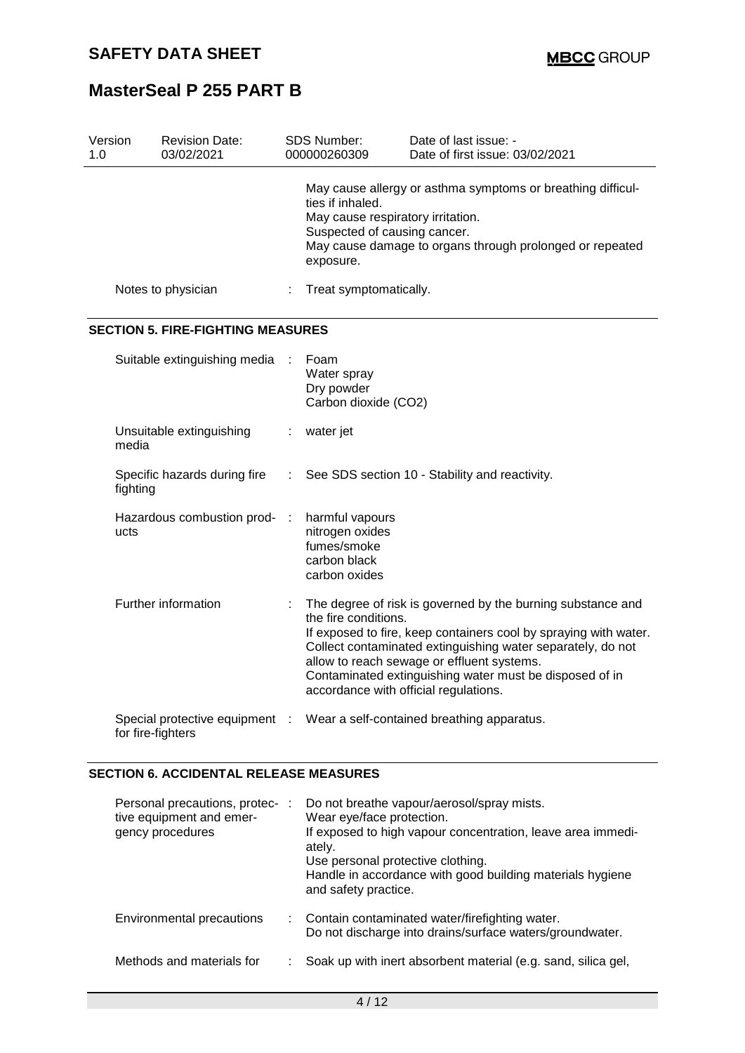| Version<br>1.0 |                   | <b>Revision Date:</b><br>03/02/2021      |    | SDS Number:<br>000000260309                                                                                                                                                                  | Date of last issue: -<br>Date of first issue: 03/02/2021                                                                                                                                                                                                                                                |  |
|----------------|-------------------|------------------------------------------|----|----------------------------------------------------------------------------------------------------------------------------------------------------------------------------------------------|---------------------------------------------------------------------------------------------------------------------------------------------------------------------------------------------------------------------------------------------------------------------------------------------------------|--|
|                |                   |                                          |    | May cause allergy or asthma symptoms or breathing difficul-<br>May cause respiratory irritation.<br>Suspected of causing cancer.<br>May cause damage to organs through prolonged or repeated |                                                                                                                                                                                                                                                                                                         |  |
|                |                   | Notes to physician                       |    | Treat symptomatically.                                                                                                                                                                       |                                                                                                                                                                                                                                                                                                         |  |
|                |                   | <b>SECTION 5. FIRE-FIGHTING MEASURES</b> |    |                                                                                                                                                                                              |                                                                                                                                                                                                                                                                                                         |  |
|                |                   | Suitable extinguishing media             |    | Foam<br>Water spray<br>Dry powder<br>Carbon dioxide (CO2)                                                                                                                                    |                                                                                                                                                                                                                                                                                                         |  |
|                | media             | Unsuitable extinguishing                 | ÷  | water jet                                                                                                                                                                                    |                                                                                                                                                                                                                                                                                                         |  |
|                | fighting          | Specific hazards during fire             | ÷. |                                                                                                                                                                                              | See SDS section 10 - Stability and reactivity.                                                                                                                                                                                                                                                          |  |
|                | ucts              | Hazardous combustion prod-               | ÷  | harmful vapours<br>nitrogen oxides<br>fumes/smoke<br>carbon black<br>carbon oxides                                                                                                           |                                                                                                                                                                                                                                                                                                         |  |
|                |                   | Further information                      |    | the fire conditions.<br>accordance with official regulations.                                                                                                                                | The degree of risk is governed by the burning substance and<br>If exposed to fire, keep containers cool by spraying with water.<br>Collect contaminated extinguishing water separately, do not<br>allow to reach sewage or effluent systems.<br>Contaminated extinguishing water must be disposed of in |  |
|                | for fire-fighters | Special protective equipment :           |    |                                                                                                                                                                                              | Wear a self-contained breathing apparatus.                                                                                                                                                                                                                                                              |  |

### **SECTION 6. ACCIDENTAL RELEASE MEASURES**

| Personal precautions, protec- :<br>tive equipment and emer-<br>gency procedures | Do not breathe vapour/aerosol/spray mists.<br>Wear eye/face protection.<br>If exposed to high vapour concentration, leave area immedi-<br>ately.<br>Use personal protective clothing.<br>Handle in accordance with good building materials hygiene<br>and safety practice. |
|---------------------------------------------------------------------------------|----------------------------------------------------------------------------------------------------------------------------------------------------------------------------------------------------------------------------------------------------------------------------|
| Environmental precautions                                                       | : Contain contaminated water/firefighting water.<br>Do not discharge into drains/surface waters/groundwater.                                                                                                                                                               |
| Methods and materials for                                                       | Soak up with inert absorbent material (e.g. sand, silica gel,                                                                                                                                                                                                              |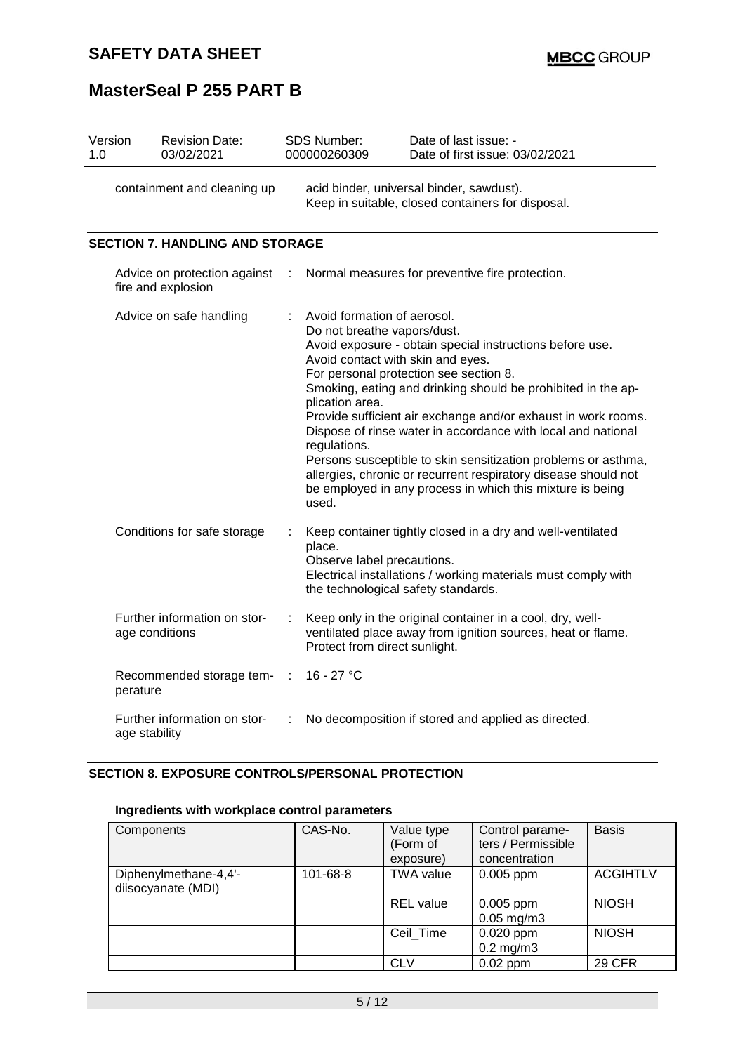| Version<br>1.0 | <b>Revision Date:</b><br>03/02/2021                |                               | SDS Number:<br>000000260309                                                                                                                                                                                                                                                                                                                                                                                                                                                                                                                                                                                                                        | Date of last issue: -<br>Date of first issue: 03/02/2021                                                                 |  |  |  |
|----------------|----------------------------------------------------|-------------------------------|----------------------------------------------------------------------------------------------------------------------------------------------------------------------------------------------------------------------------------------------------------------------------------------------------------------------------------------------------------------------------------------------------------------------------------------------------------------------------------------------------------------------------------------------------------------------------------------------------------------------------------------------------|--------------------------------------------------------------------------------------------------------------------------|--|--|--|
|                | containment and cleaning up                        |                               | acid binder, universal binder, sawdust).<br>Keep in suitable, closed containers for disposal.                                                                                                                                                                                                                                                                                                                                                                                                                                                                                                                                                      |                                                                                                                          |  |  |  |
|                | <b>SECTION 7. HANDLING AND STORAGE</b>             |                               |                                                                                                                                                                                                                                                                                                                                                                                                                                                                                                                                                                                                                                                    |                                                                                                                          |  |  |  |
|                | Advice on protection against<br>fire and explosion |                               |                                                                                                                                                                                                                                                                                                                                                                                                                                                                                                                                                                                                                                                    | Normal measures for preventive fire protection.                                                                          |  |  |  |
|                | Advice on safe handling                            |                               | Avoid formation of aerosol.<br>Do not breathe vapors/dust.<br>Avoid exposure - obtain special instructions before use.<br>Avoid contact with skin and eyes.<br>For personal protection see section 8.<br>Smoking, eating and drinking should be prohibited in the ap-<br>plication area.<br>Provide sufficient air exchange and/or exhaust in work rooms.<br>Dispose of rinse water in accordance with local and national<br>regulations.<br>Persons susceptible to skin sensitization problems or asthma,<br>allergies, chronic or recurrent respiratory disease should not<br>be employed in any process in which this mixture is being<br>used. |                                                                                                                          |  |  |  |
|                | Conditions for safe storage                        |                               | Keep container tightly closed in a dry and well-ventilated<br>place.<br>Observe label precautions.<br>Electrical installations / working materials must comply with<br>the technological safety standards.                                                                                                                                                                                                                                                                                                                                                                                                                                         |                                                                                                                          |  |  |  |
|                | Further information on stor-<br>age conditions     | Protect from direct sunlight. |                                                                                                                                                                                                                                                                                                                                                                                                                                                                                                                                                                                                                                                    | Keep only in the original container in a cool, dry, well-<br>ventilated place away from ignition sources, heat or flame. |  |  |  |
|                | Recommended storage tem-<br>perature               | - 11                          | 16 - 27 °C                                                                                                                                                                                                                                                                                                                                                                                                                                                                                                                                                                                                                                         |                                                                                                                          |  |  |  |
|                | Further information on stor-<br>age stability      |                               |                                                                                                                                                                                                                                                                                                                                                                                                                                                                                                                                                                                                                                                    | No decomposition if stored and applied as directed.                                                                      |  |  |  |

## **SECTION 8. EXPOSURE CONTROLS/PERSONAL PROTECTION**

### **Ingredients with workplace control parameters**

| Components                                  | CAS-No.  | Value type<br>(Form of<br>exposure) | Control parame-<br>ters / Permissible<br>concentration | <b>Basis</b>    |
|---------------------------------------------|----------|-------------------------------------|--------------------------------------------------------|-----------------|
| Diphenylmethane-4,4'-<br>diisocyanate (MDI) | 101-68-8 | <b>TWA value</b>                    | 0.005 ppm                                              | <b>ACGIHTLV</b> |
|                                             |          | <b>REL</b> value                    | $0.005$ ppm<br>$0.05$ mg/m $3$                         | <b>NIOSH</b>    |
|                                             |          | Ceil Time                           | $0.020$ ppm<br>$0.2$ mg/m $3$                          | <b>NIOSH</b>    |
|                                             |          | <b>CLV</b>                          | $0.02$ ppm                                             | 29 CFR          |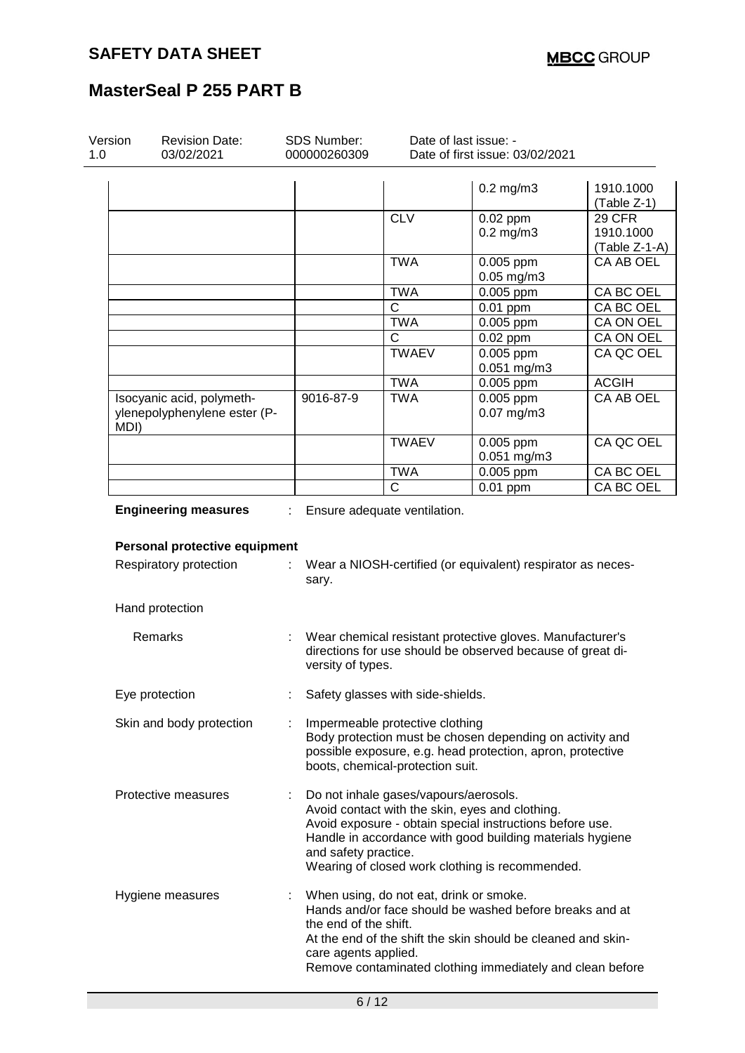| Version<br>1.0 | <b>Revision Date:</b><br>03/02/2021                       | <b>SDS Number:</b><br>000000260309            |                                                                     | Date of last issue: -<br>Date of first issue: 03/02/2021                                                                                                                                                                    |                                             |  |
|----------------|-----------------------------------------------------------|-----------------------------------------------|---------------------------------------------------------------------|-----------------------------------------------------------------------------------------------------------------------------------------------------------------------------------------------------------------------------|---------------------------------------------|--|
|                |                                                           |                                               |                                                                     | $0.2$ mg/m $3$                                                                                                                                                                                                              | 1910.1000<br>$(Table Z-1)$                  |  |
|                |                                                           |                                               | <b>CLV</b>                                                          | 0.02 ppm<br>$0.2$ mg/m $3$                                                                                                                                                                                                  | <b>29 CFR</b><br>1910.1000<br>(Table Z-1-A) |  |
|                |                                                           |                                               | <b>TWA</b>                                                          | 0.005 ppm<br>$0.05$ mg/m $3$                                                                                                                                                                                                | CA AB OEL                                   |  |
|                |                                                           |                                               | <b>TWA</b>                                                          | 0.005 ppm                                                                                                                                                                                                                   | CA BC OEL                                   |  |
|                |                                                           |                                               | $\mathsf{C}$                                                        | $0.01$ ppm                                                                                                                                                                                                                  | CA BC OEL                                   |  |
|                |                                                           |                                               | <b>TWA</b>                                                          | 0.005 ppm                                                                                                                                                                                                                   | CA ON OEL                                   |  |
|                |                                                           |                                               | C                                                                   | $0.02$ ppm                                                                                                                                                                                                                  | CA ON OEL                                   |  |
|                |                                                           |                                               | <b>TWAEV</b>                                                        | 0.005 ppm<br>0.051 mg/m3                                                                                                                                                                                                    | CA QC OEL                                   |  |
|                |                                                           |                                               | <b>TWA</b>                                                          | 0.005 ppm                                                                                                                                                                                                                   | <b>ACGIH</b>                                |  |
| MDI)           | Isocyanic acid, polymeth-<br>ylenepolyphenylene ester (P- | 9016-87-9                                     | <b>TWA</b>                                                          | 0.005 ppm<br>$0.07$ mg/m3                                                                                                                                                                                                   | CA AB OEL                                   |  |
|                |                                                           |                                               | <b>TWAEV</b>                                                        | 0.005 ppm<br>0.051 mg/m3                                                                                                                                                                                                    | CA QC OEL                                   |  |
|                |                                                           |                                               | <b>TWA</b>                                                          | 0.005 ppm                                                                                                                                                                                                                   | CA BC OEL                                   |  |
|                |                                                           |                                               | $\mathsf{C}$                                                        | $0.01$ ppm                                                                                                                                                                                                                  | CA BC OEL                                   |  |
|                | Respiratory protection                                    | sary.                                         |                                                                     | Wear a NIOSH-certified (or equivalent) respirator as neces-                                                                                                                                                                 |                                             |  |
|                | Hand protection                                           |                                               |                                                                     |                                                                                                                                                                                                                             |                                             |  |
|                | Remarks                                                   | versity of types.                             |                                                                     | Wear chemical resistant protective gloves. Manufacturer's<br>directions for use should be observed because of great di-                                                                                                     |                                             |  |
|                | Eye protection                                            |                                               | Safety glasses with side-shields.                                   |                                                                                                                                                                                                                             |                                             |  |
|                | Skin and body protection                                  |                                               | Impermeable protective clothing<br>boots, chemical-protection suit. | Body protection must be chosen depending on activity and<br>possible exposure, e.g. head protection, apron, protective                                                                                                      |                                             |  |
|                | Protective measures                                       | and safety practice.                          | Do not inhale gases/vapours/aerosols.                               | Avoid contact with the skin, eyes and clothing.<br>Avoid exposure - obtain special instructions before use.<br>Handle in accordance with good building materials hygiene<br>Wearing of closed work clothing is recommended. |                                             |  |
|                | Hygiene measures                                          | the end of the shift.<br>care agents applied. | When using, do not eat, drink or smoke.                             | Hands and/or face should be washed before breaks and at<br>At the end of the shift the skin should be cleaned and skin-                                                                                                     |                                             |  |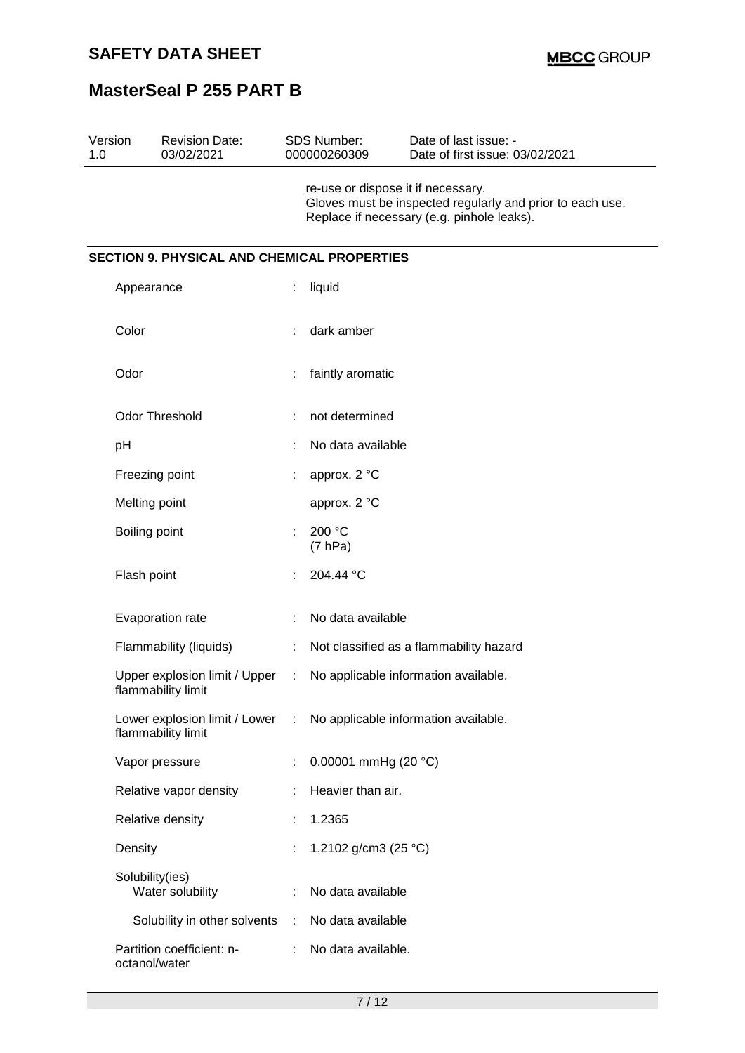| 1.0 | Version         | <b>Revision Date:</b><br>03/02/2021                 |    | <b>SDS Number:</b><br>000000260309 | Date of last issue: -<br>Date of first issue: 03/02/2021                                                |
|-----|-----------------|-----------------------------------------------------|----|------------------------------------|---------------------------------------------------------------------------------------------------------|
|     |                 |                                                     |    | re-use or dispose it if necessary. | Gloves must be inspected regularly and prior to each use.<br>Replace if necessary (e.g. pinhole leaks). |
|     |                 | <b>SECTION 9. PHYSICAL AND CHEMICAL PROPERTIES</b>  |    |                                    |                                                                                                         |
|     | Appearance      |                                                     | ÷. | liquid                             |                                                                                                         |
|     | Color           |                                                     |    | dark amber                         |                                                                                                         |
|     | Odor            |                                                     |    | faintly aromatic                   |                                                                                                         |
|     |                 | <b>Odor Threshold</b>                               |    | not determined                     |                                                                                                         |
|     | pH              |                                                     |    | No data available                  |                                                                                                         |
|     |                 | Freezing point                                      |    | approx. 2 °C                       |                                                                                                         |
|     | Melting point   |                                                     |    | approx. 2 °C                       |                                                                                                         |
|     | Boiling point   |                                                     |    | 200 °C<br>(7 hPa)                  |                                                                                                         |
|     | Flash point     |                                                     |    | 204.44 °C                          |                                                                                                         |
|     |                 | Evaporation rate                                    |    | No data available                  |                                                                                                         |
|     |                 | Flammability (liquids)                              |    |                                    | Not classified as a flammability hazard                                                                 |
|     |                 | Upper explosion limit / Upper<br>flammability limit | ÷  |                                    | No applicable information available.                                                                    |
|     |                 | Lower explosion limit / Lower<br>flammability limit | ÷  |                                    | No applicable information available.                                                                    |
|     |                 | Vapor pressure                                      |    | 0.00001 mmHg (20 $°C$ )            |                                                                                                         |
|     |                 | Relative vapor density                              |    | Heavier than air.                  |                                                                                                         |
|     |                 | Relative density                                    |    | 1.2365                             |                                                                                                         |
|     | Density         |                                                     |    | 1.2102 g/cm3 (25 °C)               |                                                                                                         |
|     | Solubility(ies) | Water solubility                                    |    | No data available                  |                                                                                                         |
|     |                 | Solubility in other solvents                        | ÷  | No data available                  |                                                                                                         |
|     | octanol/water   | Partition coefficient: n-                           |    | No data available.                 |                                                                                                         |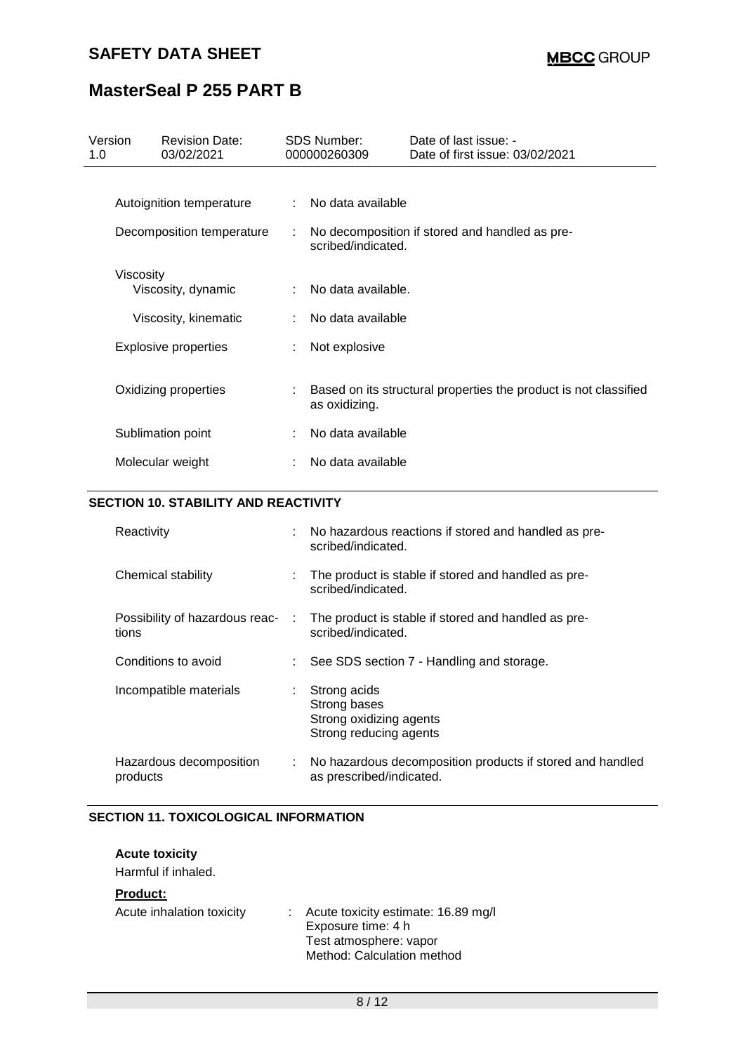# **SAFETY DATA SHEET**

# **MasterSeal P 255 PART B**

| Version<br>1.0 | <b>Revision Date:</b><br>03/02/2021         |    | SDS Number:<br>000000260309                                                       | Date of last issue: -<br>Date of first issue: 03/02/2021  |
|----------------|---------------------------------------------|----|-----------------------------------------------------------------------------------|-----------------------------------------------------------|
|                |                                             |    |                                                                                   |                                                           |
|                | Autoignition temperature                    | ÷. | No data available                                                                 |                                                           |
|                | Decomposition temperature                   |    | No decomposition if stored and handled as pre-<br>scribed/indicated.              |                                                           |
|                | Viscosity<br>Viscosity, dynamic             |    | No data available.                                                                |                                                           |
|                | Viscosity, kinematic                        |    | No data available                                                                 |                                                           |
|                |                                             |    |                                                                                   |                                                           |
|                | <b>Explosive properties</b>                 |    | Not explosive                                                                     |                                                           |
|                | Oxidizing properties                        |    | Based on its structural properties the product is not classified<br>as oxidizing. |                                                           |
|                | Sublimation point                           | ÷. | No data available                                                                 |                                                           |
|                | Molecular weight                            |    | No data available                                                                 |                                                           |
|                | <b>SECTION 10. STABILITY AND REACTIVITY</b> |    |                                                                                   |                                                           |
|                | Reactivity                                  |    | scribed/indicated.                                                                | No hazardous reactions if stored and handled as pre-      |
|                | Chemical stability                          |    | scribed/indicated.                                                                | The product is stable if stored and handled as pre-       |
|                | Possibility of hazardous reac-<br>tions     |    | scribed/indicated.                                                                | The product is stable if stored and handled as pre-       |
|                | Conditions to avoid                         |    |                                                                                   | See SDS section 7 - Handling and storage.                 |
|                | Incompatible materials                      |    | Strong acids<br>Strong bases<br>Strong oxidizing agents<br>Strong reducing agents |                                                           |
|                | Hazardous decomposition<br>products         | ÷  | as prescribed/indicated.                                                          | No hazardous decomposition products if stored and handled |

### **SECTION 11. TOXICOLOGICAL INFORMATION**

#### **Acute toxicity**

Harmful if inhaled.

#### **Product:**

| Acute inhalation toxicity | : Acute toxicity estimate: 16.89 mg/l<br>Exposure time: 4 h<br>Test atmosphere: vapor<br>Method: Calculation method |
|---------------------------|---------------------------------------------------------------------------------------------------------------------|
|                           |                                                                                                                     |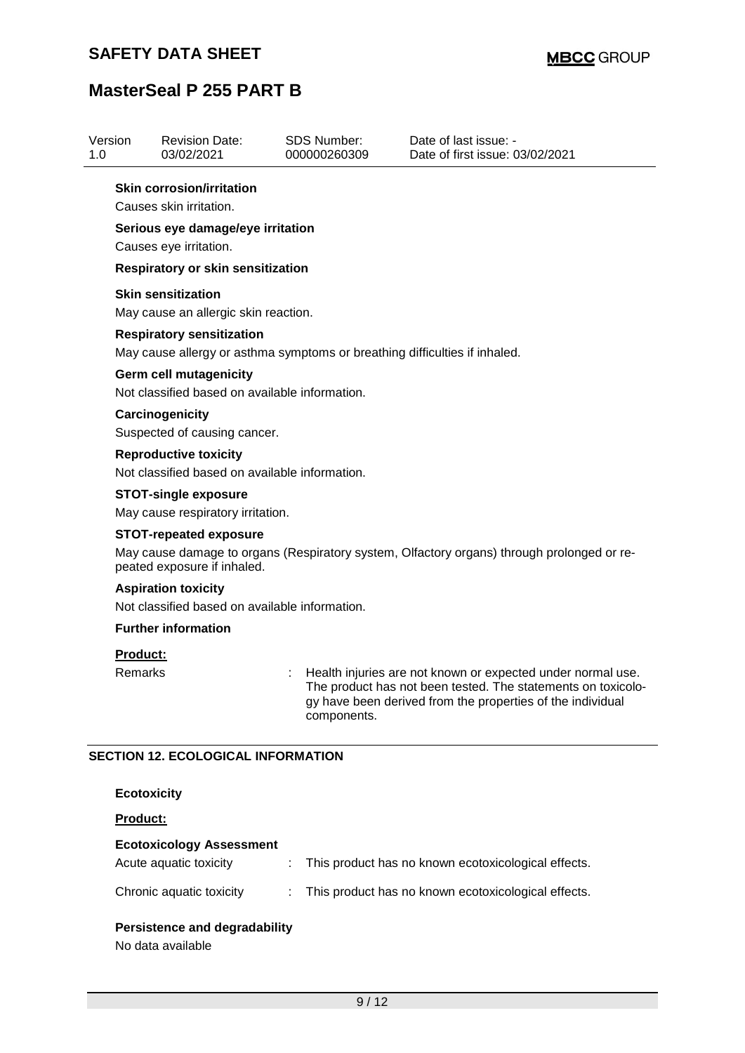| <b>Revision Date:</b><br>03/02/2021                                                                                                                        | <b>SDS Number:</b><br>000000260309 | Date of last issue: -<br>Date of first issue: 03/02/2021                                                                                                                                  |  |  |  |  |
|------------------------------------------------------------------------------------------------------------------------------------------------------------|------------------------------------|-------------------------------------------------------------------------------------------------------------------------------------------------------------------------------------------|--|--|--|--|
| <b>Skin corrosion/irritation</b><br>Causes skin irritation.                                                                                                |                                    |                                                                                                                                                                                           |  |  |  |  |
| Serious eye damage/eye irritation                                                                                                                          |                                    |                                                                                                                                                                                           |  |  |  |  |
| Respiratory or skin sensitization                                                                                                                          |                                    |                                                                                                                                                                                           |  |  |  |  |
| <b>Skin sensitization</b><br>May cause an allergic skin reaction.                                                                                          |                                    |                                                                                                                                                                                           |  |  |  |  |
| <b>Respiratory sensitization</b><br>May cause allergy or asthma symptoms or breathing difficulties if inhaled.                                             |                                    |                                                                                                                                                                                           |  |  |  |  |
| <b>Germ cell mutagenicity</b><br>Not classified based on available information.                                                                            |                                    |                                                                                                                                                                                           |  |  |  |  |
| Carcinogenicity<br>Suspected of causing cancer.                                                                                                            |                                    |                                                                                                                                                                                           |  |  |  |  |
| <b>Reproductive toxicity</b><br>Not classified based on available information.                                                                             |                                    |                                                                                                                                                                                           |  |  |  |  |
| <b>STOT-single exposure</b><br>May cause respiratory irritation.                                                                                           |                                    |                                                                                                                                                                                           |  |  |  |  |
| <b>STOT-repeated exposure</b><br>May cause damage to organs (Respiratory system, Olfactory organs) through prolonged or re-<br>peated exposure if inhaled. |                                    |                                                                                                                                                                                           |  |  |  |  |
| <b>Aspiration toxicity</b>                                                                                                                                 |                                    |                                                                                                                                                                                           |  |  |  |  |
| Not classified based on available information.                                                                                                             |                                    |                                                                                                                                                                                           |  |  |  |  |
| <b>Further information</b>                                                                                                                                 |                                    |                                                                                                                                                                                           |  |  |  |  |
| <b>Product:</b>                                                                                                                                            |                                    |                                                                                                                                                                                           |  |  |  |  |
| Remarks                                                                                                                                                    | components.                        | Health injuries are not known or expected under normal use.<br>The product has not been tested. The statements on toxicolo-<br>gy have been derived from the properties of the individual |  |  |  |  |
|                                                                                                                                                            | Causes eye irritation.             |                                                                                                                                                                                           |  |  |  |  |

### **Product:**

### **Ecotoxicology Assessment**

| Acute aguatic toxicity   | : This product has no known ecotoxicological effects. |
|--------------------------|-------------------------------------------------------|
| Chronic aquatic toxicity | : This product has no known ecotoxicological effects. |

### **Persistence and degradability**

No data available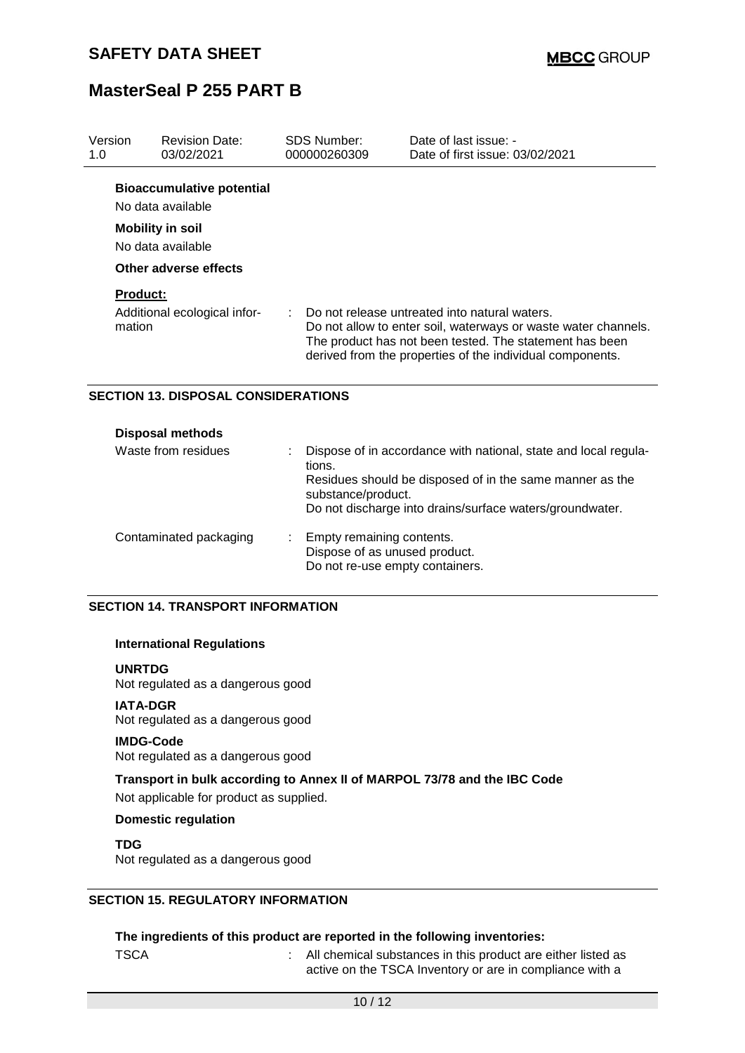| Version<br>1.0            | <b>Revision Date:</b><br>03/02/2021                                                                                            | SDS Number:<br>000000260309 | Date of last issue: -<br>Date of first issue: 03/02/2021                                                                                                                                                                                |
|---------------------------|--------------------------------------------------------------------------------------------------------------------------------|-----------------------------|-----------------------------------------------------------------------------------------------------------------------------------------------------------------------------------------------------------------------------------------|
|                           | <b>Bioaccumulative potential</b><br>No data available<br><b>Mobility in soil</b><br>No data available<br>Other adverse effects |                             |                                                                                                                                                                                                                                         |
| <b>Product:</b><br>mation | Additional ecological infor-                                                                                                   |                             | Do not release untreated into natural waters.<br>Do not allow to enter soil, waterways or waste water channels.<br>The product has not been tested. The statement has been<br>derived from the properties of the individual components. |
|                           | <b>SECTION 13. DISPOSAL CONSIDERATIONS</b>                                                                                     |                             |                                                                                                                                                                                                                                         |

| <b>Disposal methods</b> |                                                                                                                                                                                                                         |
|-------------------------|-------------------------------------------------------------------------------------------------------------------------------------------------------------------------------------------------------------------------|
| Waste from residues     | Dispose of in accordance with national, state and local regula-<br>tions.<br>Residues should be disposed of in the same manner as the<br>substance/product.<br>Do not discharge into drains/surface waters/groundwater. |
| Contaminated packaging  | Empty remaining contents.<br>Dispose of as unused product.<br>Do not re-use empty containers.                                                                                                                           |

#### **SECTION 14. TRANSPORT INFORMATION**

### **International Regulations**

**UNRTDG**

Not regulated as a dangerous good

#### **IATA-DGR**

Not regulated as a dangerous good

#### **IMDG-Code**

Not regulated as a dangerous good

**Transport in bulk according to Annex II of MARPOL 73/78 and the IBC Code** Not applicable for product as supplied.

### **Domestic regulation**

**TDG** Not regulated as a dangerous good

### **SECTION 15. REGULATORY INFORMATION**

### **The ingredients of this product are reported in the following inventories:**

TSCA : All chemical substances in this product are either listed as active on the TSCA Inventory or are in compliance with a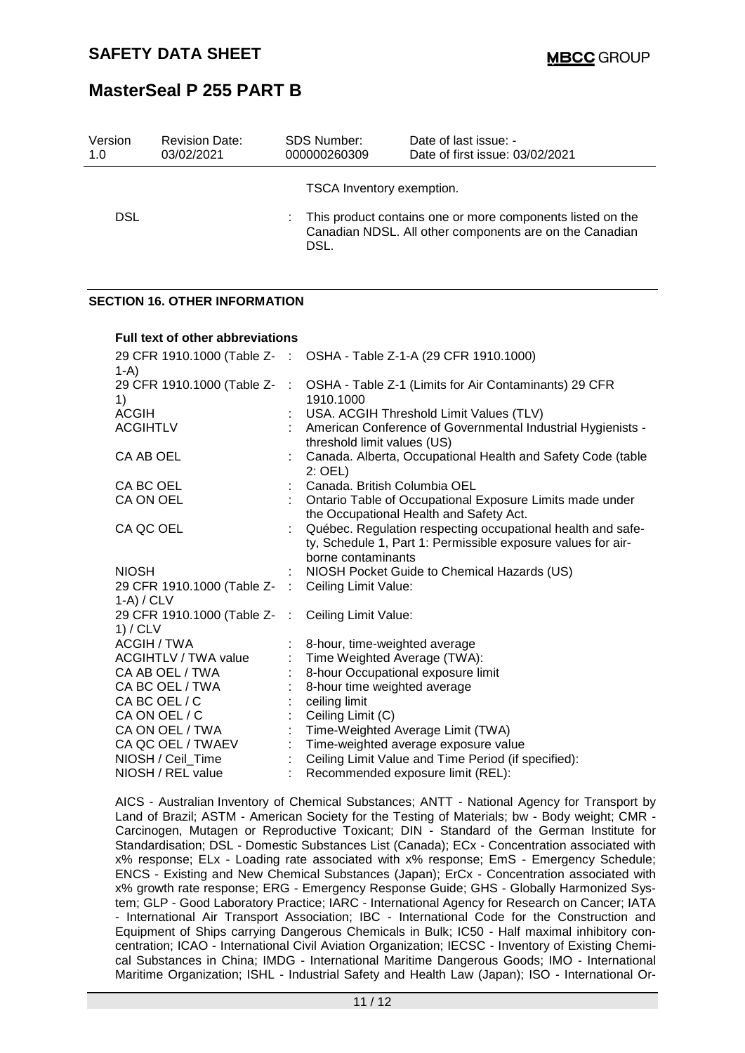| Version<br>1.0 | <b>Revision Date:</b><br>03/02/2021 | <b>SDS Number:</b><br>000000260309 | Date of last issue: -<br>Date of first issue: 03/02/2021                                                                |
|----------------|-------------------------------------|------------------------------------|-------------------------------------------------------------------------------------------------------------------------|
|                |                                     | TSCA Inventory exemption.          |                                                                                                                         |
| DSL            |                                     | DSL.                               | : This product contains one or more components listed on the<br>Canadian NDSL. All other components are on the Canadian |

#### **SECTION 16. OTHER INFORMATION**

| Full text of other abbreviations                                   |                             |                                                                                                                                                   |
|--------------------------------------------------------------------|-----------------------------|---------------------------------------------------------------------------------------------------------------------------------------------------|
| 29 CFR 1910.1000 (Table Z- :<br>$1-A$                              |                             | OSHA - Table Z-1-A (29 CFR 1910.1000)                                                                                                             |
| 29 CFR 1910.1000 (Table Z-<br>1)                                   | $\cdot$ :                   | OSHA - Table Z-1 (Limits for Air Contaminants) 29 CFR<br>1910.1000                                                                                |
| <b>ACGIH</b>                                                       |                             | USA. ACGIH Threshold Limit Values (TLV)                                                                                                           |
| <b>ACGIHTLV</b>                                                    |                             | American Conference of Governmental Industrial Hygienists -<br>threshold limit values (US)                                                        |
| CA AB OEL                                                          |                             | Canada. Alberta, Occupational Health and Safety Code (table<br>2: OEL)                                                                            |
| CA BC OEL                                                          |                             | Canada. British Columbia OEL                                                                                                                      |
| CA ON OEL                                                          |                             | Ontario Table of Occupational Exposure Limits made under<br>the Occupational Health and Safety Act.                                               |
| CA QC OEL                                                          |                             | Québec. Regulation respecting occupational health and safe-<br>ty, Schedule 1, Part 1: Permissible exposure values for air-<br>borne contaminants |
| <b>NIOSH</b>                                                       |                             | NIOSH Pocket Guide to Chemical Hazards (US)                                                                                                       |
| 29 CFR 1910.1000 (Table Z- : Ceiling Limit Value:<br>$1-A$ ) / CLV |                             |                                                                                                                                                   |
| 29 CFR 1910.1000 (Table Z- : Ceiling Limit Value:<br>1) / CLV      |                             |                                                                                                                                                   |
| ACGIH / TWA                                                        |                             | 8-hour, time-weighted average                                                                                                                     |
| <b>ACGIHTLV / TWA value</b>                                        |                             | Time Weighted Average (TWA):                                                                                                                      |
| CA AB OEL / TWA                                                    |                             | 8-hour Occupational exposure limit                                                                                                                |
| CA BC OEL / TWA                                                    |                             | 8-hour time weighted average                                                                                                                      |
| CA BC OEL / C                                                      |                             | ceiling limit                                                                                                                                     |
| CA ON OEL / C                                                      |                             | Ceiling Limit (C)                                                                                                                                 |
| CA ON OEL / TWA                                                    | $\mathcal{E}_{\mathcal{A}}$ | Time-Weighted Average Limit (TWA)                                                                                                                 |
| CA QC OEL / TWAEV                                                  | $\mathbb{R}^n$              | Time-weighted average exposure value                                                                                                              |
| NIOSH / Ceil_Time                                                  |                             | Ceiling Limit Value and Time Period (if specified):                                                                                               |
| NIOSH / REL value                                                  |                             | Recommended exposure limit (REL):                                                                                                                 |

AICS - Australian Inventory of Chemical Substances; ANTT - National Agency for Transport by Land of Brazil; ASTM - American Society for the Testing of Materials; bw - Body weight; CMR -Carcinogen, Mutagen or Reproductive Toxicant; DIN - Standard of the German Institute for Standardisation; DSL - Domestic Substances List (Canada); ECx - Concentration associated with x% response; ELx - Loading rate associated with x% response; EmS - Emergency Schedule; ENCS - Existing and New Chemical Substances (Japan); ErCx - Concentration associated with x% growth rate response; ERG - Emergency Response Guide; GHS - Globally Harmonized System; GLP - Good Laboratory Practice; IARC - International Agency for Research on Cancer; IATA - International Air Transport Association; IBC - International Code for the Construction and Equipment of Ships carrying Dangerous Chemicals in Bulk; IC50 - Half maximal inhibitory concentration; ICAO - International Civil Aviation Organization; IECSC - Inventory of Existing Chemical Substances in China; IMDG - International Maritime Dangerous Goods; IMO - International Maritime Organization; ISHL - Industrial Safety and Health Law (Japan); ISO - International Or-